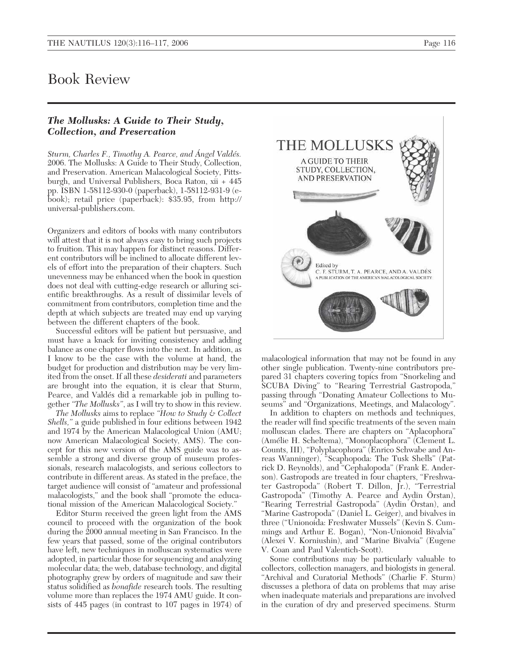## Book Review

## *The Mollusks: A Guide to Their Study, Collection, and Preservation*

*Sturm, Charles F., Timothy A. Pearce, and Ángel Valdés.* 2006. The Mollusks: A Guide to Their Study, Collection, and Preservation. American Malacological Society, Pittsburgh, and Universal Publishers, Boca Raton, xii + 445 pp. ISBN 1-58112-930-0 (paperback), 1-58112-931-9 (ebook); retail price (paperback): \$35.95, from http:// universal-publishers.com.

Organizers and editors of books with many contributors will attest that it is not always easy to bring such projects to fruition. This may happen for distinct reasons. Different contributors will be inclined to allocate different levels of effort into the preparation of their chapters. Such unevenness may be enhanced when the book in question does not deal with cutting-edge research or alluring scientific breakthroughs. As a result of dissimilar levels of commitment from contributors, completion time and the depth at which subjects are treated may end up varying between the different chapters of the book.

Successful editors will be patient but persuasive, and must have a knack for inviting consistency and adding balance as one chapter flows into the next. In addition, as I know to be the case with the volume at hand, the budget for production and distribution may be very limited from the onset. If all these *desiderati* and parameters are brought into the equation, it is clear that Sturm, Pearce, and Valdés did a remarkable job in pulling together *"The Mollusks"*, as I will try to show in this review.

*The Mollusks* aims to replace *"How to Study & Collect Shells,"* a guide published in four editions between 1942 and 1974 by the American Malacological Union (AMU; now American Malacological Society, AMS). The concept for this new version of the AMS guide was to assemble a strong and diverse group of museum professionals, research malacologists, and serious collectors to contribute in different areas. As stated in the preface, the target audience will consist of "amateur and professional malacologists," and the book shall "promote the educational mission of the American Malacological Society."

Editor Sturm received the green light from the AMS council to proceed with the organization of the book during the 2000 annual meeting in San Francisco. In the few years that passed, some of the original contributors have left, new techniques in molluscan systematics were adopted, in particular those for sequencing and analyzing molecular data; the web, database technology, and digital photography grew by orders of magnitude and saw their status solidified as *bonafide* research tools. The resulting volume more than replaces the 1974 AMU guide. It consists of 445 pages (in contrast to 107 pages in 1974) of



malacological information that may not be found in any other single publication. Twenty-nine contributors prepared 31 chapters covering topics from "Snorkeling and SCUBA Diving" to "Rearing Terrestrial Gastropoda," passing through "Donating Amateur Collections to Museums" and "Organizations, Meetings, and Malacology".

In addition to chapters on methods and techniques, the reader will find specific treatments of the seven main molluscan clades. There are chapters on "Aplacophora" (Amélie H. Scheltema), "Monoplacophora" (Clement L. Counts, III), "Polyplacophora" (Enrico Schwabe and Anreas Wanninger), "Scaphopoda: The Tusk Shells" (Patrick D. Reynolds), and "Cephalopoda" (Frank E. Anderson). Gastropods are treated in four chapters, "Freshwater Gastropoda" (Robert T. Dillon, Jr.), "Terrestrial Gastropoda" (Timothy A. Pearce and Aydin Örstan), "Rearing Terrestrial Gastropoda" (Aydin Örstan), and "Marine Gastropoda" (Daniel L. Geiger), and bivalves in three ("Unionoida: Freshwater Mussels" (Kevin S. Cummings and Arthur E. Bogan), "Non-Unionoid Bivalvia" (Alexei V. Korniushin), and "Marine Bivalvia" (Eugene V. Coan and Paul Valentich-Scott).

Some contributions may be particularly valuable to collectors, collection managers, and biologists in general. "Archival and Curatorial Methods" (Charlie F. Sturm) discusses a plethora of data on problems that may arise when inadequate materials and preparations are involved in the curation of dry and preserved specimens. Sturm